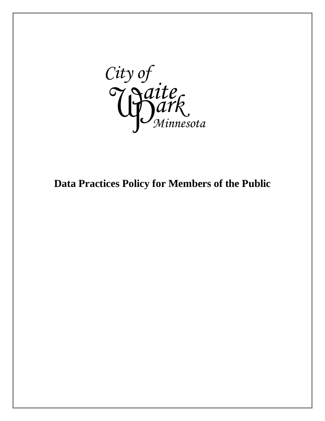

# **Data Practices Policy for Members of the Public**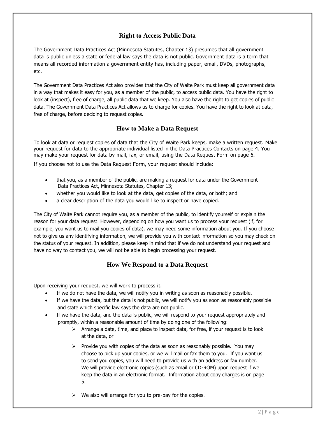## **Right to Access Public Data**

The Government Data Practices Act (Minnesota Statutes, Chapter 13) presumes that all government data is public unless a state or federal law says the data is not public. Government data is a term that means all recorded information a government entity has, including paper, email, DVDs, photographs, etc.

The Government Data Practices Act also provides that the City of Waite Park must keep all government data in a way that makes it easy for you, as a member of the public, to access public data. You have the right to look at (inspect), free of charge, all public data that we keep. You also have the right to get copies of public data. The Government Data Practices Act allows us to charge for copies. You have the right to look at data, free of charge, before deciding to request copies.

## **How to Make a Data Request**

To look at data or request copies of data that the City of Waite Park keeps, make a written request. Make your request for data to the appropriate individual listed in the Data Practices Contacts on page 4. You may make your request for data by mail, fax, or email, using the Data Request Form on page 6.

If you choose not to use the Data Request Form, your request should include:

- that you, as a member of the public, are making a request for data under the Government Data Practices Act, Minnesota Statutes, Chapter 13;
- whether you would like to look at the data, get copies of the data, or both; and
- a clear description of the data you would like to inspect or have copied.

The City of Waite Park cannot require you, as a member of the public, to identify yourself or explain the reason for your data request. However, depending on how you want us to process your request (if, for example, you want us to mail you copies of data), we may need some information about you. If you choose not to give us any identifying information, we will provide you with contact information so you may check on the status of your request. In addition, please keep in mind that if we do not understand your request and have no way to contact you, we will not be able to begin processing your request.

## **How We Respond to a Data Request**

Upon receiving your request, we will work to process it.

- If we do not have the data, we will notify you in writing as soon as reasonably possible.
- If we have the data, but the data is not public, we will notify you as soon as reasonably possible and state which specific law says the data are not public.
- If we have the data, and the data is public, we will respond to your request appropriately and promptly, within a reasonable amount of time by doing one of the following:
	- $\triangleright$  Arrange a date, time, and place to inspect data, for free, if your request is to look at the data, or
	- $\triangleright$  Provide you with copies of the data as soon as reasonably possible. You may choose to pick up your copies, or we will mail or fax them to you. If you want us to send you copies, you will need to provide us with an address or fax number. We will provide electronic copies (such as email or CD-ROM) upon request if we keep the data in an electronic format. Information about copy charges is on page 5.
	- $\triangleright$  We also will arrange for you to pre-pay for the copies.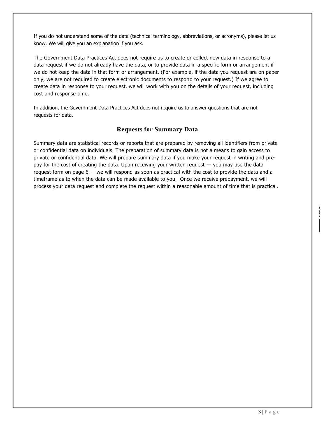If you do not understand some of the data (technical terminology, abbreviations, or acronyms), please let us know. We will give you an explanation if you ask.

The Government Data Practices Act does not require us to create or collect new data in response to a data request if we do not already have the data, or to provide data in a specific form or arrangement if we do not keep the data in that form or arrangement. (For example, if the data you request are on paper only, we are not required to create electronic documents to respond to your request.) If we agree to create data in response to your request, we will work with you on the details of your request, including cost and response time.

In addition, the Government Data Practices Act does not require us to answer questions that are not requests for data.

## **Requests for Summary Data**

Summary data are statistical records or reports that are prepared by removing all identifiers from private or confidential data on individuals. The preparation of summary data is not a means to gain access to private or confidential data. We will prepare summary data if you make your request in writing and prepay for the cost of creating the data. Upon receiving your written request — you may use the data request form on page 6 — we will respond as soon as practical with the cost to provide the data and a timeframe as to when the data can be made available to you. Once we receive prepayment, we will process your data request and complete the request within a reasonable amount of time that is practical.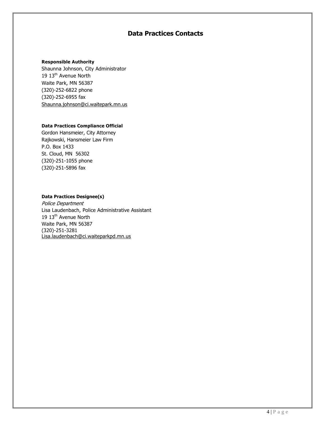# **Data Practices Contacts**

#### **Responsible Authority**

Shaunna Johnson, City Administrator 19 13<sup>th</sup> Avenue North Waite Park, MN 56387 (320)-252-6822 phone (320)-252-6955 fax Shaunna.johnson@ci.waitepark.mn.us

#### **Data Practices Compliance Official**

Gordon Hansmeier, City Attorney Rajkowski, Hansmeier Law Firm P.O. Box 1433 St. Cloud, MN 56302 (320)-251-1055 phone (320)-251-5896 fax

#### **Data Practices Designee(s)**

Police Department Lisa Laudenbach, Police Administrative Assistant 19 13<sup>th</sup> Avenue North Waite Park, MN 56387 (320)-251-3281 Lisa.laudenbach@ci.waiteparkpd.mn.us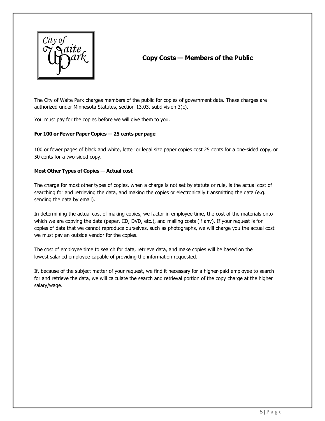

# **Copy Costs — Members of the Public**

The City of Waite Park charges members of the public for copies of government data. These charges are authorized under Minnesota Statutes, section 13.03, subdivision 3(c).

You must pay for the copies before we will give them to you.

#### **For 100 or Fewer Paper Copies — 25 cents per page**

100 or fewer pages of black and white, letter or legal size paper copies cost 25 cents for a one-sided copy, or 50 cents for a two-sided copy.

#### **Most Other Types of Copies — Actual cost**

The charge for most other types of copies, when a charge is not set by statute or rule, is the actual cost of searching for and retrieving the data, and making the copies or electronically transmitting the data (e.g. sending the data by email).

In determining the actual cost of making copies, we factor in employee time, the cost of the materials onto which we are copying the data (paper, CD, DVD, etc.), and mailing costs (if any). If your request is for copies of data that we cannot reproduce ourselves, such as photographs, we will charge you the actual cost we must pay an outside vendor for the copies.

The cost of employee time to search for data, retrieve data, and make copies will be based on the lowest salaried employee capable of providing the information requested.

If, because of the subject matter of your request, we find it necessary for a higher-paid employee to search for and retrieve the data, we will calculate the search and retrieval portion of the copy charge at the higher salary/wage.